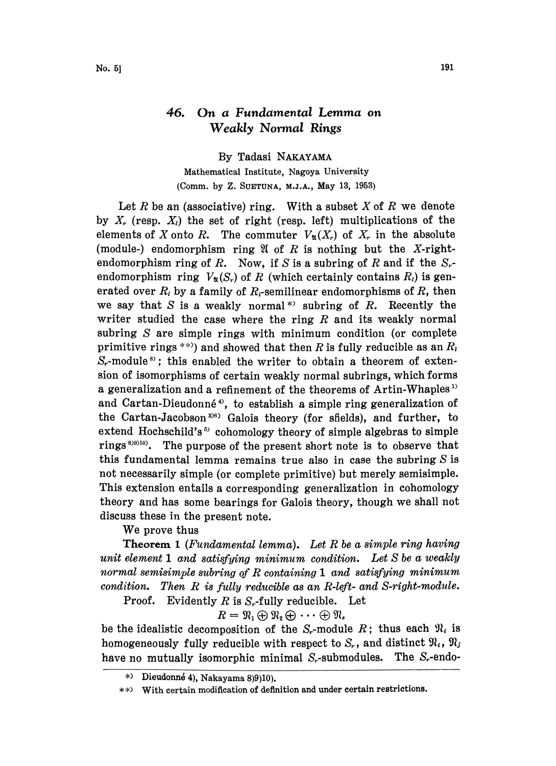## 46. On a Fundamental Lemma on Weakly Normal Rings

By Tadasi NAKAYAMA Mathematical Institute, Nagoya University (Comm. by Z. SUETUNA, M.J.A., May 13, 1953)

Let R be an (associative) ring. With a subset X of R we denote by X, (resp.  $X_i$ ) the set of right (resp. left) multiplications of the elements of X onto R. The commuter  $V_{\mathfrak{A}}(X_r)$  of  $X_r$  in the absolute (module-) endomorphism ring  $\mathfrak A$  of R is nothing but the X-rightendomorphism ring of R. Now, if S is a subring of R and if the  $S_{r}$ endomorphism ring  $V_{\mathfrak{A}}(S_r)$  of R (which certainly contains  $R_i$ ) is generated over  $R_i$  by a family of  $R_i$ -semilinear endomorphisms of R, then we say that S is a weakly normal<sup>\*</sup> subring of R. Recently the writer studied the case where the ring  $R$  and its weakly normal subring S are simple rings with minimum condition (or complete primitive rings \*\*) and showed that then R is fully reducible as an  $R_i$  $S_r$ -module<sup>s</sup>; this enabled the writer to obtain a theorem of extension of isomorphisms of certain weakly normal subrings, which forms a generalization and a refinement of the theorems of Artin-Whaples<sup>1)</sup> and Cartan-Dieudonné<sup>4</sup>, to establish a simple ring generalization of the Cartan-Jacobson<sup>3)6)</sup> Galois theory (for sfields), and further, to extend Hochschild's  $5$  cohomology theory of simple algebras to simple rings  $89910$ . The purpose of the present short note is to observe that this fundamental lemma remains true also in case the subring  $S$  is not necessarily simple (or complete primitive) but merely semisimple. This extension entails a corresponding generalization in cohomology theory and has some bearings for Galois theory, though we shall not discuss these in the present note.

We prove thus

**Theorem 1** (Fundamental lemma). Let R be a simple ring having unit element <sup>1</sup> and satisfying minimum condition. Let S be a weakly normal semisimple subring of  $R$  containing  $1$  and satisfying minimum condition. Then  $R$  is fully reducible as an  $R$ -left- and  $S$ -right-module.

**Proof.** Evidently R is  $S_r$ -fully reducible. Let

 $R = \mathfrak{N}_1 \oplus \mathfrak{N}_2 \oplus \cdots \oplus \mathfrak{N}_s$ 

be the idealistic decomposition of the  $S_r$ -module R; thus each  $\mathfrak{N}_i$  is homogeneously fully reducible with respect to  $S_r$ , and distinct  $\mathfrak{N}_i$ ,  $\mathfrak{N}_j$ have no mutually isomorphic minimal  $S<sub>r</sub>$ -submodules. The  $S<sub>r</sub>$ -endo-

 $*$  Dieudonné 4), Nakayama 8)9)10).

With certain modification of definition and under certain restrictions.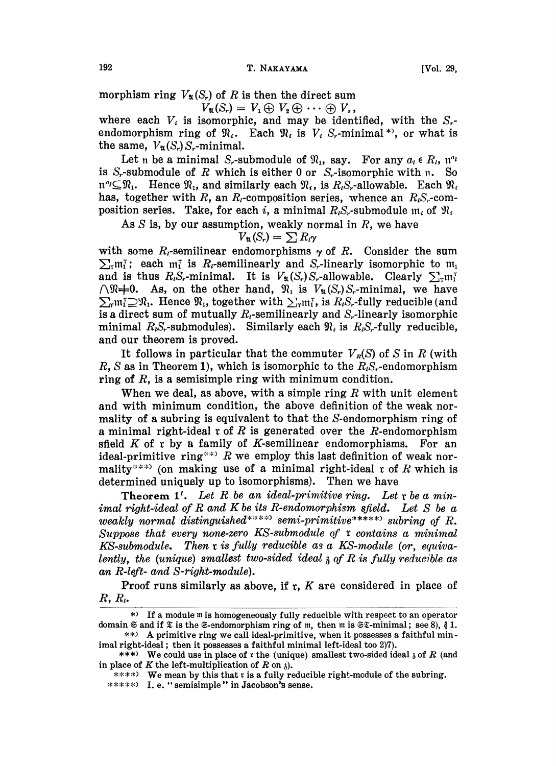morphism ring  $V_{\mathfrak{A}}(S_r)$  of R is then the direct sum

$$
u(S_r) = V_1 \oplus V_2 \oplus \cdots \oplus V_s,
$$

where each  $V_i$  is isomorphic, and may be identified, with the  $S_{i}$ endomorphism ring of  $\mathfrak{N}_i$ . Each  $\mathfrak{N}_i$  is  $V_i$  S<sub>r</sub>-minimal<sup>\*</sup>), or what is the same,  $V_{\mathfrak{A}}(S_r)S_r$ -minimal.

Let n be a minimal S<sub>r</sub>-submodule of  $\mathfrak{N}_1$ , say. For any  $a_i \in R_i$ ,  $\mathfrak{n}^{a_i}$ is S<sub>r</sub>-submodule of R which is either 0 or  $S_r$ -isomorphic with n. So  $\mathfrak{n}^n \subseteq \mathfrak{N}_1$ . Hence  $\mathfrak{N}_1$ , and similarly each  $\mathfrak{N}_i$ , is  $R_iS_r$ -allowable. Each  $\mathfrak{N}_i$ has, together with R, an  $R_i$ -composition series, whence an  $R_iS_i$ -composition series. Take, for each i, a minimal  $R_iS_r$ -submodule  $m_i$  of  $\mathfrak{R}_i$ 

As  $S$  is, by our assumption, weakly normal in  $R$ , we have

$$
V_{\mathfrak{A}}(S_r)=\sum R_i\gamma
$$

with some  $R_i$ -semilinear endomorphisms  $\gamma$  of R. Consider the sum  $\sum_{\alpha} m_1^{\alpha}$ ; each  $m_1^{\alpha}$  is  $R_i$ -semilinearly and S<sub>r</sub>-linearly isomorphic to  $m_1$ and is thus  $R_iS_r$ -minimal. It is  $V_u(S_r)S_r$ -allowable. Clearly  $\sum_{\rm r} m_{\rm i}^{\rm r}$  $\bigcap_{\mathfrak{R}}\mathfrak{p}=0$ . As, on the other hand,  $\mathfrak{R}_1$  is  $V_{\mathfrak{A}}(S_r)S_r$ -minimal, we have  $\sum_{r} m_i^T \supseteq \mathfrak{N}_1$ . Hence  $\mathfrak{N}_1$ , together with  $\sum_{r} m_i^T$ , is  $R_i S_r$ -fully reducible (and is a direct sum of mutually  $R_t$ -semilinearly and  $S_t$ -linearly isomorphic minimal  $R_iS_r$ -submodules). Similarly each  $\mathfrak{N}_i$  is  $R_iS_r$ -fully reducible, and our theorem is proved.

It follows in particular that the commuter  $V_R(S)$  of S in R (with R, S as in Theorem 1), which is isomorphic to the  $R_{i}S_{r}$ -endomorphism ring of  $R$ , is a semisimple ring with minimum condition.

When we deal, as above, with a simple ring  $R$  with unit element and with minimum condition, the above definition of the weak normality of a subring is equivalent to that the S-endomorphism ring of a minimal right-ideal  $r$  of R is generated over the R-endomorphism sfield  $K$  of  $r$  by a family of K-semilinear endomorphisms. For an ideal-primitive ring\*\*> R we employ this last definition of weak normality<sup>\*\*\*</sup>) (on making use of a minimal right-ideal  $r$  of R which is determined uniquely up to isomorphisms). Then we have

Theorem 1'. Let R be an ideal-primitive ring. Let  $r$  be a minimal right-ideal of R and K be its R-endomorphism sfield. Let  $S$  be a weakly normal distinguished\*\*\*\*\* semi-primitive\*\*\*\*\* subring of  $R$ . Suppose that every none-zero KS-submodule of  $\tau$  contains a minimal  $KS\text{-}submodule.$  Then  $x$  is fully reducible as a KS-module (or, equivalently, the (unique) smallest two-sided ideal  $\lambda$  of R is fully reducible as an R-left- and S-right-module).

Proof runs similarly as above, if  $r$ ,  $K$  are considered in place of  $R, R_i$ 

\*\*\*\*\*) I.e. "semisimple" in Jacobson's sense.

<sup>\*)</sup> If a module  $m$  is homogeneously fully reducible with respect to an operator domain  $\mathfrak S$  and if  $\mathfrak X$  is the  $\mathfrak S$ -endomorphism ring of m, then m is  $\mathfrak S\mathfrak X$ -minimal; see 8),  $\mathfrak g$  1.

<sup>\*\*)</sup> A primitive ring we call ideal-primitive, when it possesses a faithful minimal right-ideal; then it possesses a faithful minimal left-ideal too 2)7).

<sup>\*\*\*)</sup> We could use in place of r the (unique) smallest two-sided ideal  $\delta$  of R (and in place of K the left-multiplication of R on  $\lambda$ ).

 $****$ ) We mean by this that r is a fully reducible right-module of the subring.